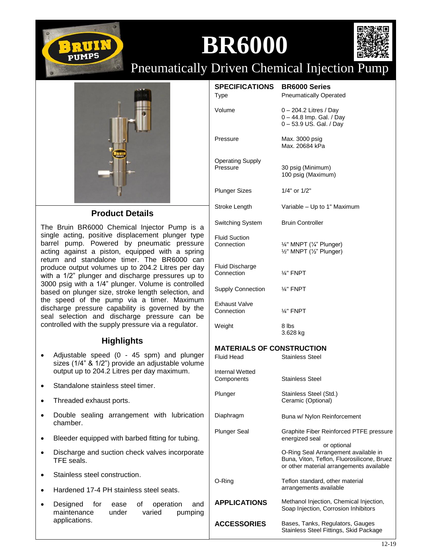

## **BR6000**



Pneumatically Driven Chemical Injection Pump



## **Product Details**

The Bruin BR6000 Chemical Injector Pump is a single acting, positive displacement plunger type barrel pump. Powered by pneumatic pressure acting against a piston, equipped with a spring return and standalone timer. The BR6000 can produce output volumes up to 204.2 Litres per day with a 1/2" plunger and discharge pressures up to 3000 psig with a 1/4" plunger. Volume is controlled based on plunger size, stroke length selection, and the speed of the pump via a timer. Maximum discharge pressure capability is governed by the seal selection and discharge pressure can be controlled with the supply pressure via a regulator.

## **Highlights**

- Adjustable speed (0 45 spm) and plunger sizes (1/4" & 1/2") provide an adjustable volume output up to 204.2 Litres per day maximum.
- Standalone stainless steel timer.
- Threaded exhaust ports.
- Double sealing arrangement with lubrication chamber.
- Bleeder equipped with barbed fitting for tubing.
- Discharge and suction check valves incorporate TFE seals.
- Stainless steel construction.
- Hardened 17-4 PH stainless steel seats.
- Designed for ease of operation and maintenance under varied pumping applications.

| <b>SPECIFICATIONS BR6000 Series</b><br><b>Type</b>    | <b>Pneumatically Operated</b>                                                                                                                 |
|-------------------------------------------------------|-----------------------------------------------------------------------------------------------------------------------------------------------|
| Volume                                                | $0 - 204.2$ Litres / Day<br>0 - 44.8 Imp. Gal. / Day<br>0-53.9 US. Gal. / Day                                                                 |
| Pressure                                              | Max. 3000 psig<br>Max. 20684 kPa                                                                                                              |
| <b>Operating Supply</b><br>Pressure                   | 30 psig (Minimum)<br>100 psig (Maximum)                                                                                                       |
| <b>Plunger Sizes</b>                                  | 1/4" or 1/2"                                                                                                                                  |
| Stroke Length                                         | Variable - Up to 1" Maximum                                                                                                                   |
| <b>Switching System</b>                               | <b>Bruin Controller</b>                                                                                                                       |
| <b>Fluid Suction</b><br>Connection                    | 1/4" MNPT (1/4" Plunger)<br>1/2" MNPT (1/2" Plunger)                                                                                          |
| <b>Fluid Discharge</b><br>Connection                  | $\frac{1}{4}$ " FNPT                                                                                                                          |
| <b>Supply Connection</b>                              | $\frac{1}{4}$ " FNPT                                                                                                                          |
| <b>Exhaust Valve</b><br>Connection                    | $\frac{1}{4}$ " FNPT                                                                                                                          |
| Weight                                                | 8 lbs<br>3.628 kg                                                                                                                             |
| <b>MATERIALS OF CONSTRUCTION</b><br><b>Fluid Head</b> | <b>Stainless Steel</b>                                                                                                                        |
| Internal Wetted<br>Components                         | <b>Stainless Steel</b>                                                                                                                        |
| Plunger                                               | Stainless Steel (Std.)<br>Ceramic (Optional)                                                                                                  |
| Diaphragm                                             | Buna w/ Nylon Reinforcement                                                                                                                   |
| <b>Plunger Seal</b>                                   | Graphite Fiber Reinforced PTFE pressure<br>energized seal                                                                                     |
|                                                       | or optional<br>O-Ring Seal Arrangement available in<br>Buna, Viton, Teflon, Fluorosilicone, Bruez<br>or other material arrangements available |
| O-Ring                                                | Teflon standard, other material<br>arrangements available                                                                                     |
| <b>APPLICATIONS</b>                                   | Methanol Injection, Chemical Injection,<br>Soap Injection, Corrosion Inhibitors                                                               |
| <b>ACCESSORIES</b>                                    | Bases, Tanks, Regulators, Gauges                                                                                                              |

Stainless Steel Fittings, Skid Package